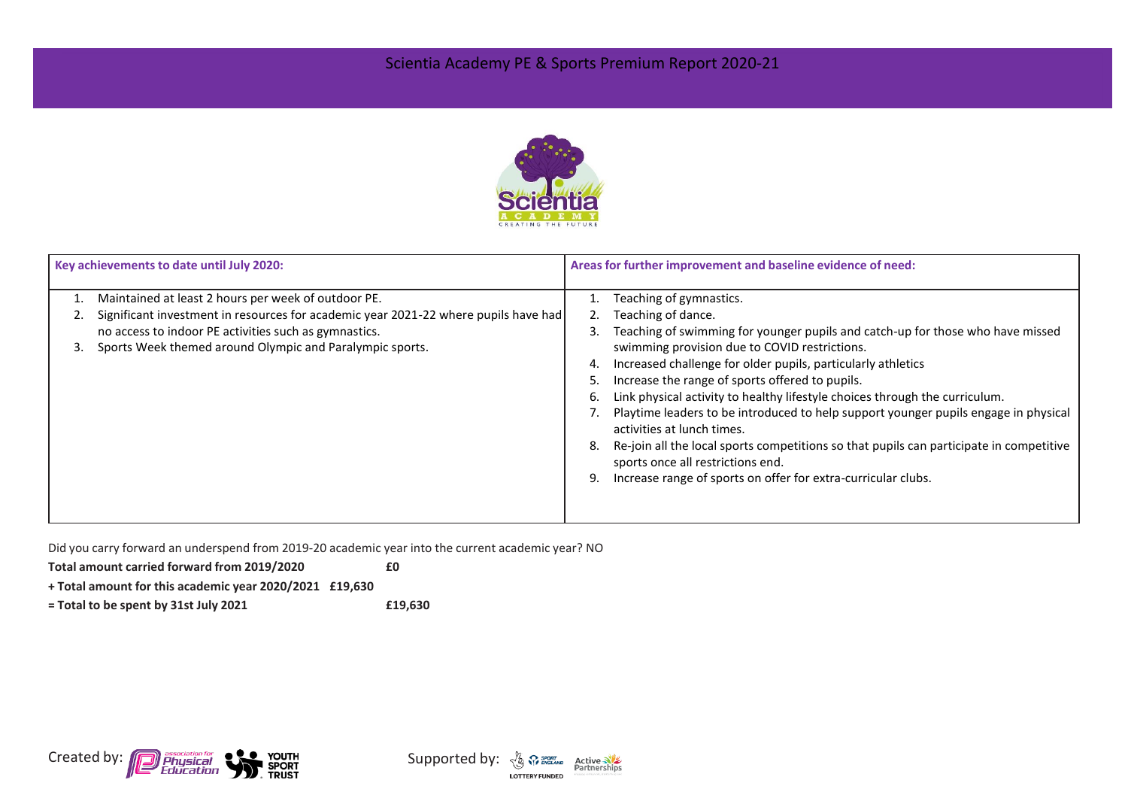## Scientia Academy PE & Sports Premium Report 2020-21



| Key achievements to date until July 2020: |                                                                                     | Areas for further improvement and baseline evidence of need: |                                                                                                                              |  |
|-------------------------------------------|-------------------------------------------------------------------------------------|--------------------------------------------------------------|------------------------------------------------------------------------------------------------------------------------------|--|
|                                           | Maintained at least 2 hours per week of outdoor PE.                                 |                                                              | Teaching of gymnastics.                                                                                                      |  |
|                                           | Significant investment in resources for academic year 2021-22 where pupils have had |                                                              | Teaching of dance.                                                                                                           |  |
|                                           | no access to indoor PE activities such as gymnastics.                               | 3                                                            | Teaching of swimming for younger pupils and catch-up for those who have missed                                               |  |
|                                           | Sports Week themed around Olympic and Paralympic sports.                            |                                                              | swimming provision due to COVID restrictions.                                                                                |  |
|                                           |                                                                                     | 4.                                                           | Increased challenge for older pupils, particularly athletics                                                                 |  |
|                                           |                                                                                     | 5                                                            | Increase the range of sports offered to pupils.                                                                              |  |
|                                           |                                                                                     | 6.                                                           | Link physical activity to healthy lifestyle choices through the curriculum.                                                  |  |
|                                           |                                                                                     |                                                              | Playtime leaders to be introduced to help support younger pupils engage in physical<br>activities at lunch times.            |  |
|                                           |                                                                                     | 8.                                                           | Re-join all the local sports competitions so that pupils can participate in competitive<br>sports once all restrictions end. |  |
|                                           |                                                                                     | 9.                                                           | Increase range of sports on offer for extra-curricular clubs.                                                                |  |
|                                           |                                                                                     |                                                              |                                                                                                                              |  |

Did you carry forward an underspend from 2019-20 academic year into the current academic year? NO

**Total amount carried forward from 2019/2020 £0**

**+ Total amount for this academic year 2020/2021 £19,630**

**= Total to be spent by 31st July 2021 £19,630**



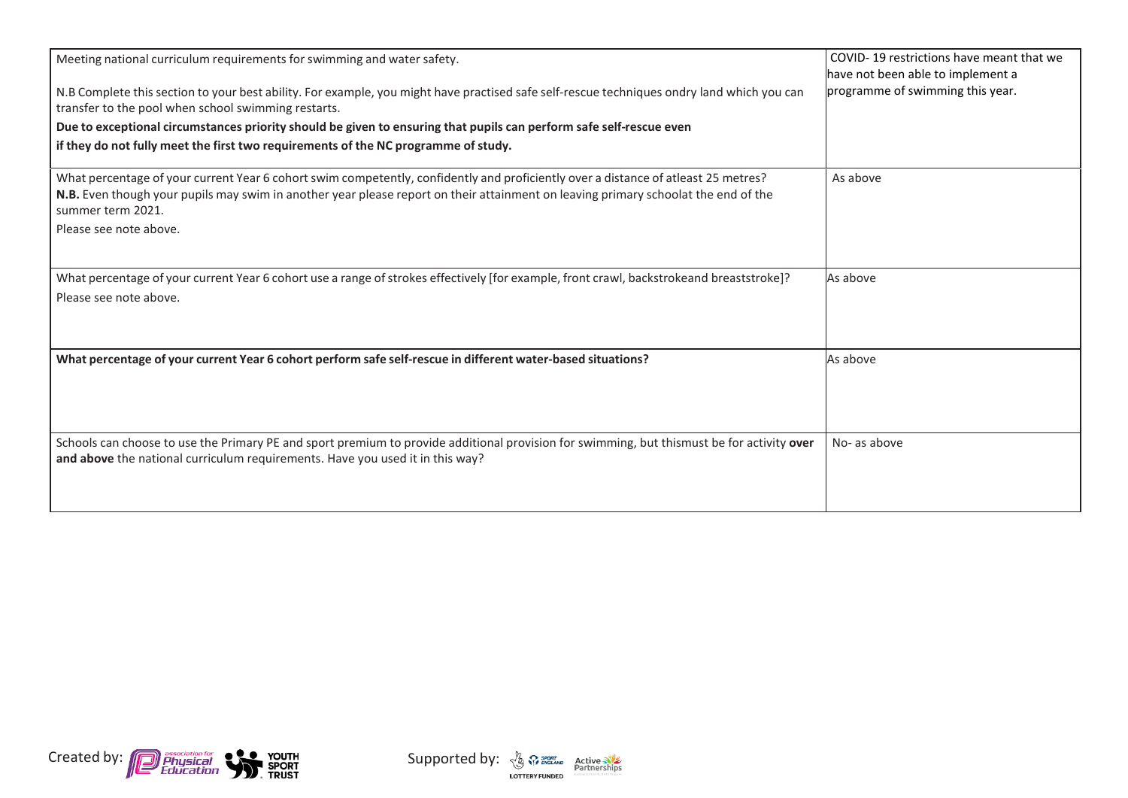| Meeting national curriculum requirements for swimming and water safety.                                                                                                                                                                                                                       | COVID-19 restrictions have meant that we<br>have not been able to implement a |
|-----------------------------------------------------------------------------------------------------------------------------------------------------------------------------------------------------------------------------------------------------------------------------------------------|-------------------------------------------------------------------------------|
| N.B Complete this section to your best ability. For example, you might have practised safe self-rescue techniques ondry land which you can<br>transfer to the pool when school swimming restarts.                                                                                             | programme of swimming this year.                                              |
| Due to exceptional circumstances priority should be given to ensuring that pupils can perform safe self-rescue even                                                                                                                                                                           |                                                                               |
| if they do not fully meet the first two requirements of the NC programme of study.                                                                                                                                                                                                            |                                                                               |
| What percentage of your current Year 6 cohort swim competently, confidently and proficiently over a distance of atleast 25 metres?<br>N.B. Even though your pupils may swim in another year please report on their attainment on leaving primary schoolat the end of the<br>summer term 2021. | As above                                                                      |
| Please see note above.                                                                                                                                                                                                                                                                        |                                                                               |
| What percentage of your current Year 6 cohort use a range of strokes effectively [for example, front crawl, backstrokeand breaststroke]?                                                                                                                                                      | As above                                                                      |
| Please see note above.                                                                                                                                                                                                                                                                        |                                                                               |
| What percentage of your current Year 6 cohort perform safe self-rescue in different water-based situations?                                                                                                                                                                                   | As above                                                                      |
| Schools can choose to use the Primary PE and sport premium to provide additional provision for swimming, but thismust be for activity over<br>and above the national curriculum requirements. Have you used it in this way?                                                                   | No- as above                                                                  |



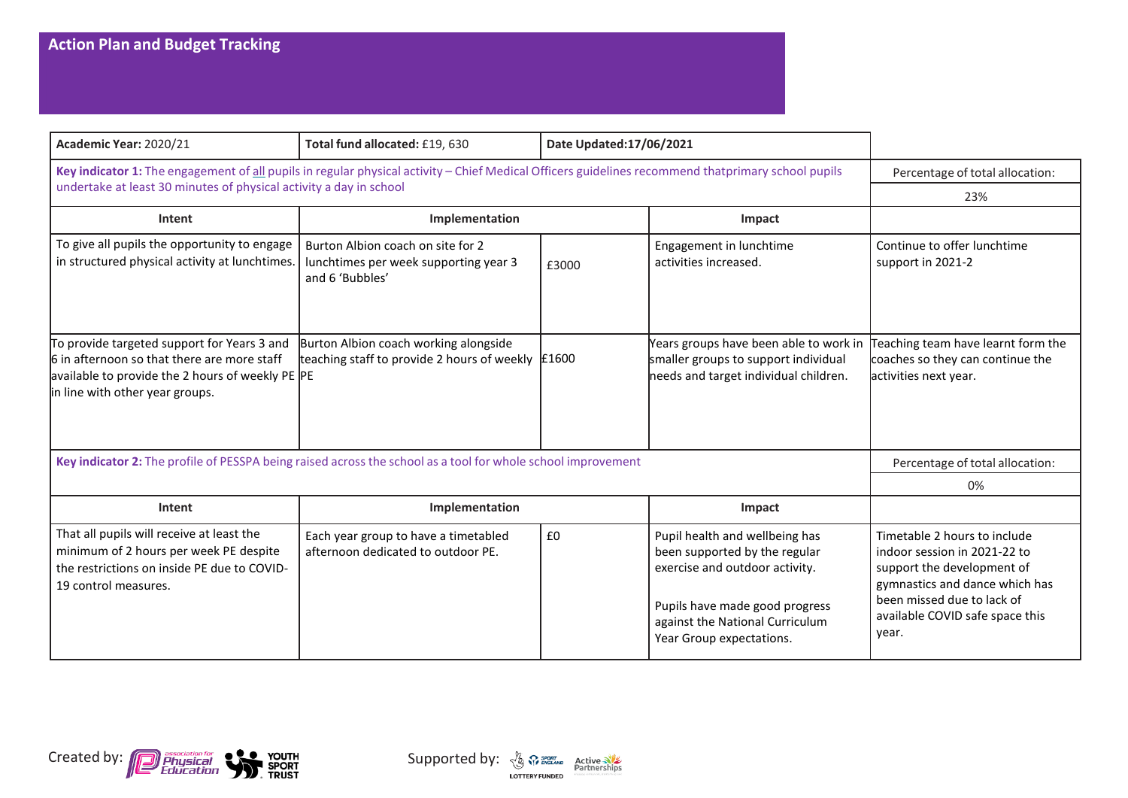| Academic Year: 2020/21                                                                                                                                                            | Total fund allocated: £19, 630                                                                | Date Updated:17/06/2021 |                                                                                                                                                                                                    |                                                                                                                                                                                                        |
|-----------------------------------------------------------------------------------------------------------------------------------------------------------------------------------|-----------------------------------------------------------------------------------------------|-------------------------|----------------------------------------------------------------------------------------------------------------------------------------------------------------------------------------------------|--------------------------------------------------------------------------------------------------------------------------------------------------------------------------------------------------------|
| Key indicator 1: The engagement of all pupils in regular physical activity - Chief Medical Officers guidelines recommend thatprimary school pupils                                | Percentage of total allocation:                                                               |                         |                                                                                                                                                                                                    |                                                                                                                                                                                                        |
| undertake at least 30 minutes of physical activity a day in school                                                                                                                | 23%                                                                                           |                         |                                                                                                                                                                                                    |                                                                                                                                                                                                        |
| Intent                                                                                                                                                                            | Implementation                                                                                |                         | Impact                                                                                                                                                                                             |                                                                                                                                                                                                        |
| To give all pupils the opportunity to engage<br>in structured physical activity at lunchtimes.                                                                                    | Burton Albion coach on site for 2<br>lunchtimes per week supporting year 3<br>and 6 'Bubbles' | £3000                   | Engagement in lunchtime<br>activities increased.                                                                                                                                                   | Continue to offer lunchtime<br>support in 2021-2                                                                                                                                                       |
| To provide targeted support for Years 3 and<br>6 in afternoon so that there are more staff<br>available to provide the 2 hours of weekly PE PE<br>in line with other year groups. | Burton Albion coach working alongside<br>teaching staff to provide 2 hours of weekly          | £1600                   | Years groups have been able to work in<br>smaller groups to support individual<br>needs and target individual children.                                                                            | Teaching team have learnt form the<br>coaches so they can continue the<br>activities next year.                                                                                                        |
| Key indicator 2: The profile of PESSPA being raised across the school as a tool for whole school improvement                                                                      |                                                                                               |                         |                                                                                                                                                                                                    | Percentage of total allocation:                                                                                                                                                                        |
|                                                                                                                                                                                   |                                                                                               |                         |                                                                                                                                                                                                    | 0%                                                                                                                                                                                                     |
| Intent                                                                                                                                                                            | Implementation                                                                                |                         | Impact                                                                                                                                                                                             |                                                                                                                                                                                                        |
| That all pupils will receive at least the<br>minimum of 2 hours per week PE despite<br>the restrictions on inside PE due to COVID-<br>19 control measures.                        | Each year group to have a timetabled<br>afternoon dedicated to outdoor PE.                    | £0                      | Pupil health and wellbeing has<br>been supported by the regular<br>exercise and outdoor activity.<br>Pupils have made good progress<br>against the National Curriculum<br>Year Group expectations. | Timetable 2 hours to include<br>indoor session in 2021-22 to<br>support the development of<br>gymnastics and dance which has<br>been missed due to lack of<br>available COVID safe space this<br>year. |



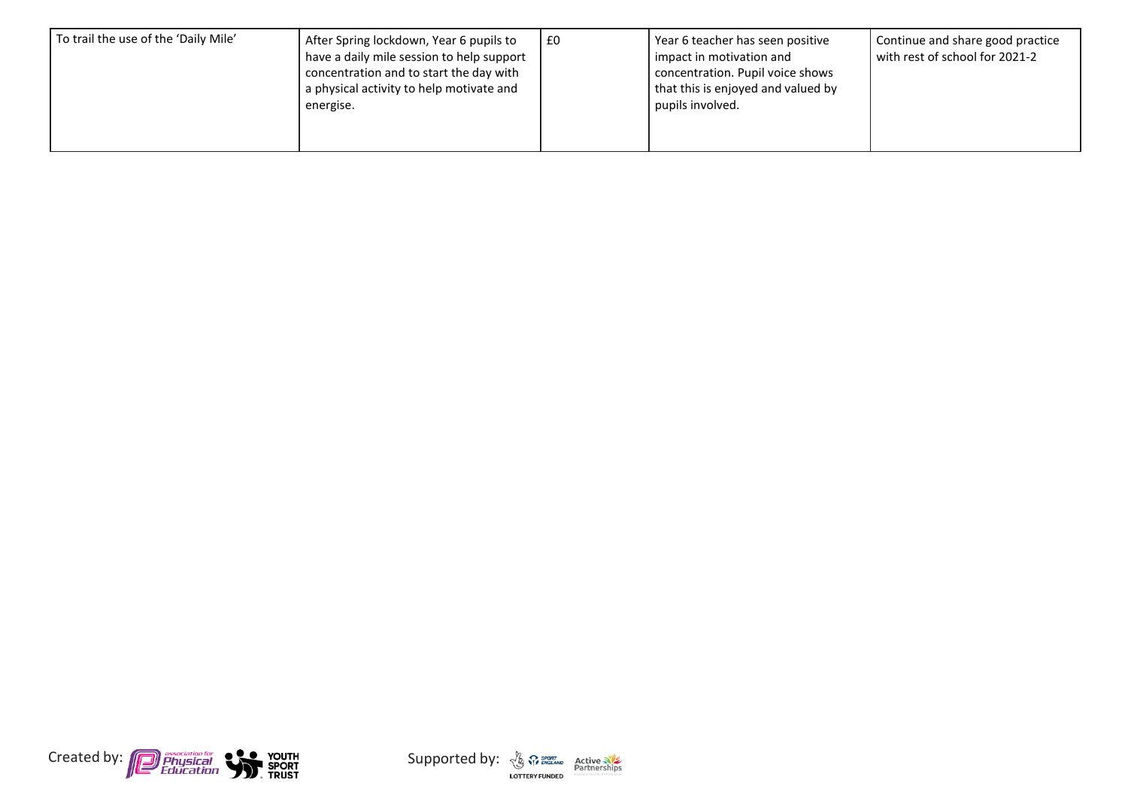| To trail the use of the 'Daily Mile'<br>energise. | After Spring lockdown, Year 6 pupils to<br>have a daily mile session to help support<br>concentration and to start the day with<br>a physical activity to help motivate and | £0 | Year 6 teacher has seen positive<br>l impact in motivation and<br>concentration. Pupil voice shows<br>that this is enjoyed and valued by<br>pupils involved. | Continue and share good practice<br>with rest of school for 2021-2 |
|---------------------------------------------------|-----------------------------------------------------------------------------------------------------------------------------------------------------------------------------|----|--------------------------------------------------------------------------------------------------------------------------------------------------------------|--------------------------------------------------------------------|
|---------------------------------------------------|-----------------------------------------------------------------------------------------------------------------------------------------------------------------------------|----|--------------------------------------------------------------------------------------------------------------------------------------------------------------|--------------------------------------------------------------------|



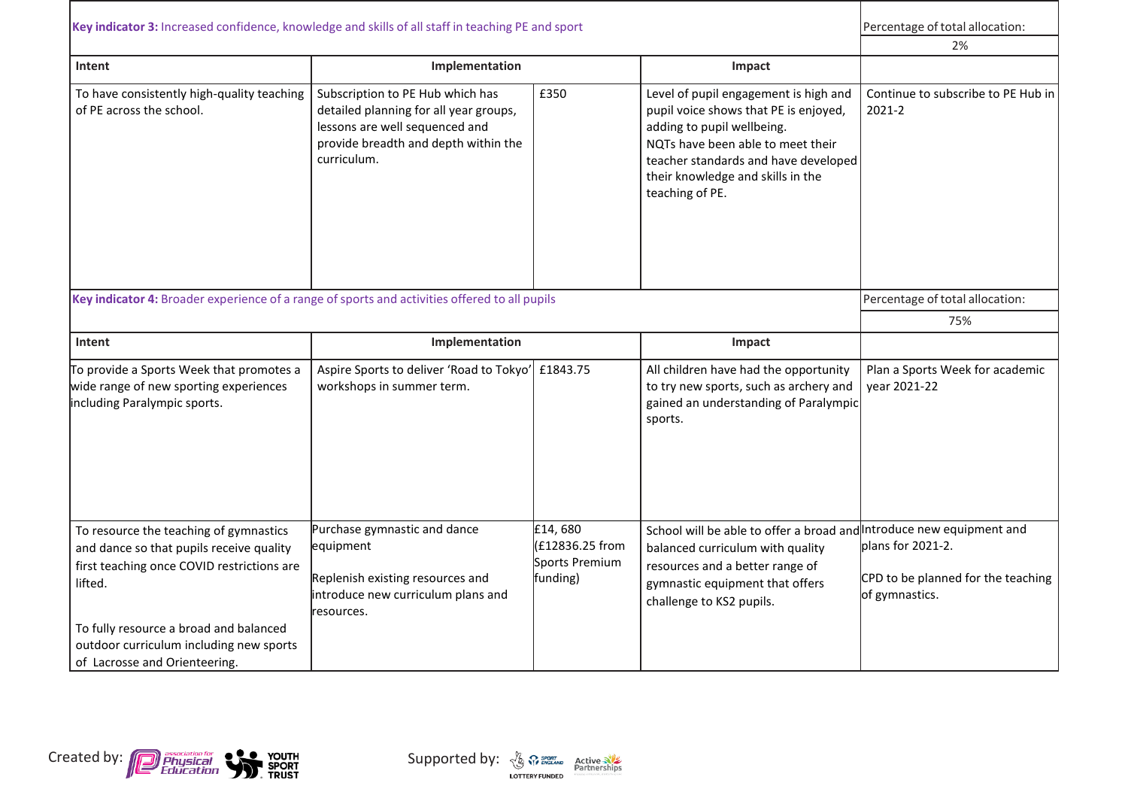| Key indicator 3: Increased confidence, knowledge and skills of all staff in teaching PE and sport<br>Intent<br>To have consistently high-quality teaching<br>of PE across the school.                                                                             | Implementation<br>Subscription to PE Hub which has<br>detailed planning for all year groups,<br>lessons are well sequenced and<br>provide breadth and depth within the<br>curriculum. | £350                                                    | Impact<br>Level of pupil engagement is high and<br>pupil voice shows that PE is enjoyed,<br>adding to pupil wellbeing.<br>NQTs have been able to meet their<br>teacher standards and have developed<br>their knowledge and skills in the<br>teaching of PE. | Percentage of total allocation:<br>2%<br>Continue to subscribe to PE Hub in<br>2021-2 |
|-------------------------------------------------------------------------------------------------------------------------------------------------------------------------------------------------------------------------------------------------------------------|---------------------------------------------------------------------------------------------------------------------------------------------------------------------------------------|---------------------------------------------------------|-------------------------------------------------------------------------------------------------------------------------------------------------------------------------------------------------------------------------------------------------------------|---------------------------------------------------------------------------------------|
| Key indicator 4: Broader experience of a range of sports and activities offered to all pupils<br>Intent                                                                                                                                                           | Implementation                                                                                                                                                                        |                                                         | Impact                                                                                                                                                                                                                                                      | Percentage of total allocation:<br>75%                                                |
| To provide a Sports Week that promotes a<br>wide range of new sporting experiences<br>including Paralympic sports.                                                                                                                                                | Aspire Sports to deliver 'Road to Tokyo'<br>workshops in summer term.                                                                                                                 | £1843.75                                                | All children have had the opportunity<br>to try new sports, such as archery and<br>gained an understanding of Paralympic<br>sports.                                                                                                                         | Plan a Sports Week for academic<br>year 2021-22                                       |
| To resource the teaching of gymnastics<br>and dance so that pupils receive quality<br>first teaching once COVID restrictions are<br>lifted.<br>To fully resource a broad and balanced<br>outdoor curriculum including new sports<br>of Lacrosse and Orienteering. | Purchase gymnastic and dance<br>equipment<br>Replenish existing resources and<br>introduce new curriculum plans and<br>resources.                                                     | £14,680<br>£12836.25 from<br>Sports Premium<br>funding) | School will be able to offer a broad and Introduce new equipment and<br>balanced curriculum with quality<br>resources and a better range of<br>gymnastic equipment that offers<br>challenge to KS2 pupils.                                                  | plans for 2021-2.<br>CPD to be planned for the teaching<br>of gymnastics.             |